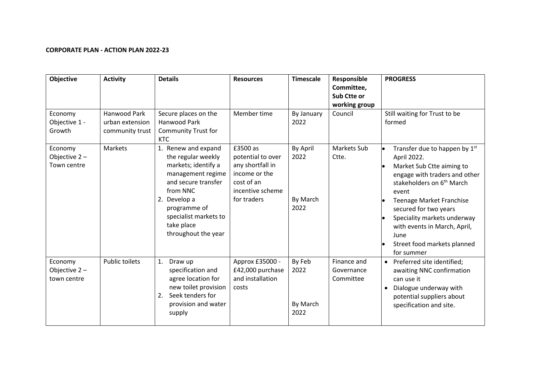## **CORPORATE PLAN - ACTION PLAN 2022-23**

| <b>Objective</b>                          | <b>Activity</b>                                    | <b>Details</b>                                                                                                                                                                                                         | <b>Resources</b>                                                                                                    | <b>Timescale</b>                     | Responsible<br>Committee,<br>Sub Ctte or<br>working group | <b>PROGRESS</b>                                                                                                                                                                                                                                                                                                                              |
|-------------------------------------------|----------------------------------------------------|------------------------------------------------------------------------------------------------------------------------------------------------------------------------------------------------------------------------|---------------------------------------------------------------------------------------------------------------------|--------------------------------------|-----------------------------------------------------------|----------------------------------------------------------------------------------------------------------------------------------------------------------------------------------------------------------------------------------------------------------------------------------------------------------------------------------------------|
| Economy<br>Objective 1 -<br>Growth        | Hanwood Park<br>urban extension<br>community trust | Secure places on the<br><b>Hanwood Park</b><br><b>Community Trust for</b><br><b>KTC</b>                                                                                                                                | Member time                                                                                                         | By January<br>2022                   | Council                                                   | Still waiting for Trust to be<br>formed                                                                                                                                                                                                                                                                                                      |
| Economy<br>Objective 2-<br>Town centre    | Markets                                            | 1. Renew and expand<br>the regular weekly<br>markets; identify a<br>management regime<br>and secure transfer<br>from NNC<br>2. Develop a<br>programme of<br>specialist markets to<br>take place<br>throughout the year | £3500 as<br>potential to over<br>any shortfall in<br>income or the<br>cost of an<br>incentive scheme<br>for traders | By April<br>2022<br>By March<br>2022 | Markets Sub<br>Ctte.                                      | Transfer due to happen by 1st<br>April 2022.<br>Market Sub Ctte aiming to<br>engage with traders and other<br>stakeholders on 6 <sup>th</sup> March<br>event<br><b>Teenage Market Franchise</b><br>secured for two years<br>Speciality markets underway<br>with events in March, April,<br>June<br>Street food markets planned<br>for summer |
| Economy<br>Objective $2 -$<br>town centre | <b>Public toilets</b>                              | 1.<br>Draw up<br>specification and<br>agree location for<br>new toilet provision<br>Seek tenders for<br>2.<br>provision and water<br>supply                                                                            | Approx £35000 -<br>£42,000 purchase<br>and installation<br>costs                                                    | By Feb<br>2022<br>By March<br>2022   | Finance and<br>Governance<br>Committee                    | • Preferred site identified;<br>awaiting NNC confirmation<br>can use it<br>Dialogue underway with<br>$\bullet$<br>potential suppliers about<br>specification and site.                                                                                                                                                                       |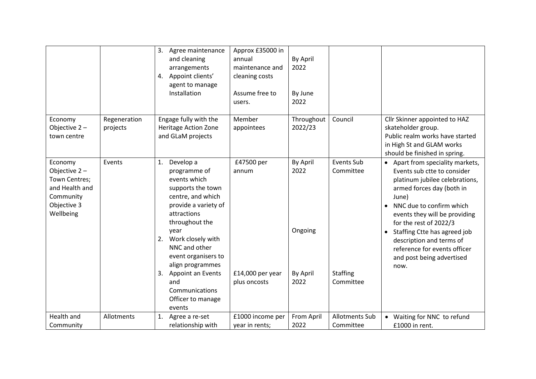|                                                                                                     |                          | 3.<br>Agree maintenance<br>and cleaning<br>arrangements<br>4. Appoint clients'<br>agent to manage<br>Installation                                                                                                                                                                                                                           | Approx £35000 in<br>annual<br>maintenance and<br>cleaning costs<br>Assume free to<br>users. | By April<br>2022<br>By June<br>2022                    |                                                         |                                                                                                                                                                                                                                                                                                                                                                     |
|-----------------------------------------------------------------------------------------------------|--------------------------|---------------------------------------------------------------------------------------------------------------------------------------------------------------------------------------------------------------------------------------------------------------------------------------------------------------------------------------------|---------------------------------------------------------------------------------------------|--------------------------------------------------------|---------------------------------------------------------|---------------------------------------------------------------------------------------------------------------------------------------------------------------------------------------------------------------------------------------------------------------------------------------------------------------------------------------------------------------------|
| Economy<br>Objective 2-<br>town centre                                                              | Regeneration<br>projects | Engage fully with the<br><b>Heritage Action Zone</b><br>and GLaM projects                                                                                                                                                                                                                                                                   | Member<br>appointees                                                                        | Throughout<br>2022/23                                  | Council                                                 | Cllr Skinner appointed to HAZ<br>skateholder group.<br>Public realm works have started<br>in High St and GLAM works<br>should be finished in spring.                                                                                                                                                                                                                |
| Economy<br>Objective 2-<br>Town Centres;<br>and Health and<br>Community<br>Objective 3<br>Wellbeing | Events                   | Develop a<br>1.<br>programme of<br>events which<br>supports the town<br>centre, and which<br>provide a variety of<br>attractions<br>throughout the<br>year<br>Work closely with<br>2.<br>NNC and other<br>event organisers to<br>align programmes<br><b>Appoint an Events</b><br>3.<br>and<br>Communications<br>Officer to manage<br>events | £47500 per<br>annum<br>$£14,000$ per year<br>plus oncosts                                   | By April<br>2022<br>Ongoing<br><b>By April</b><br>2022 | Events Sub<br>Committee<br><b>Staffing</b><br>Committee | • Apart from speciality markets,<br>Events sub ctte to consider<br>platinum jubilee celebrations,<br>armed forces day (both in<br>June)<br>• NNC due to confirm which<br>events they will be providing<br>for the rest of 2022/3<br>• Staffing Ctte has agreed job<br>description and terms of<br>reference for events officer<br>and post being advertised<br>now. |
| Health and<br>Community                                                                             | Allotments               | Agree a re-set<br>1.<br>relationship with                                                                                                                                                                                                                                                                                                   | £1000 income per<br>year in rents;                                                          | From April<br>2022                                     | <b>Allotments Sub</b><br>Committee                      | • Waiting for NNC to refund<br>£1000 in rent.                                                                                                                                                                                                                                                                                                                       |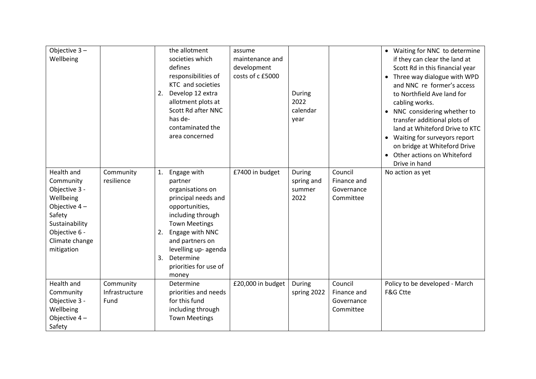| Objective $3 -$<br>Wellbeing                                                                                                                         |                                     | 2.             | the allotment<br>societies which<br>defines<br>responsibilities of<br>KTC and societies<br>Develop 12 extra<br>allotment plots at<br>Scott Rd after NNC<br>has de-<br>contaminated the<br>area concerned                                      | assume<br>maintenance and<br>development<br>costs of c £5000 | During<br>2022<br>calendar<br>year     |                                                   | • Waiting for NNC to determine<br>if they can clear the land at<br>Scott Rd in this financial year<br>• Three way dialogue with WPD<br>and NNC re former's access<br>to Northfield Ave land for<br>cabling works.<br>• NNC considering whether to<br>transfer additional plots of<br>land at Whiteford Drive to KTC<br>• Waiting for surveyors report<br>on bridge at Whiteford Drive<br>• Other actions on Whiteford<br>Drive in hand |
|------------------------------------------------------------------------------------------------------------------------------------------------------|-------------------------------------|----------------|-----------------------------------------------------------------------------------------------------------------------------------------------------------------------------------------------------------------------------------------------|--------------------------------------------------------------|----------------------------------------|---------------------------------------------------|----------------------------------------------------------------------------------------------------------------------------------------------------------------------------------------------------------------------------------------------------------------------------------------------------------------------------------------------------------------------------------------------------------------------------------------|
| Health and<br>Community<br>Objective 3 -<br>Wellbeing<br>Objective $4-$<br>Safety<br>Sustainability<br>Objective 6 -<br>Climate change<br>mitigation | Community<br>resilience             | 1.<br>2.<br>3. | Engage with<br>partner<br>organisations on<br>principal needs and<br>opportunities,<br>including through<br><b>Town Meetings</b><br>Engage with NNC<br>and partners on<br>levelling up- agenda<br>Determine<br>priorities for use of<br>money | £7400 in budget                                              | During<br>spring and<br>summer<br>2022 | Council<br>Finance and<br>Governance<br>Committee | No action as yet                                                                                                                                                                                                                                                                                                                                                                                                                       |
| Health and<br>Community<br>Objective 3 -<br>Wellbeing<br>Objective $4-$<br>Safety                                                                    | Community<br>Infrastructure<br>Fund |                | Determine<br>priorities and needs<br>for this fund<br>including through<br><b>Town Meetings</b>                                                                                                                                               | £20,000 in budget                                            | During<br>spring 2022                  | Council<br>Finance and<br>Governance<br>Committee | Policy to be developed - March<br><b>F&amp;G Ctte</b>                                                                                                                                                                                                                                                                                                                                                                                  |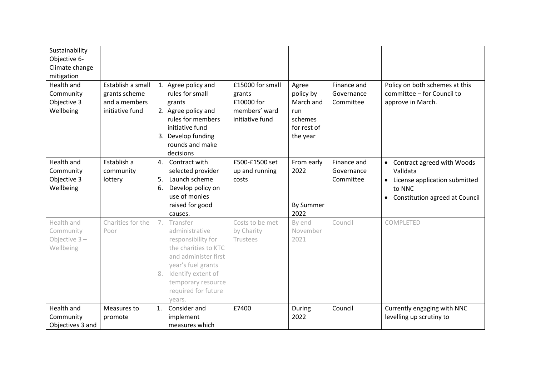| Sustainability<br>Objective 6-<br>Climate change<br>mitigation |                                                                        |          |                                                                                                                                                                                                           |                                                                              |                                                                              |                                        |                                                                                                                         |
|----------------------------------------------------------------|------------------------------------------------------------------------|----------|-----------------------------------------------------------------------------------------------------------------------------------------------------------------------------------------------------------|------------------------------------------------------------------------------|------------------------------------------------------------------------------|----------------------------------------|-------------------------------------------------------------------------------------------------------------------------|
| Health and<br>Community<br>Objective 3<br>Wellbeing            | Establish a small<br>grants scheme<br>and a members<br>initiative fund |          | 1. Agree policy and<br>rules for small<br>grants<br>2. Agree policy and<br>rules for members<br>initiative fund<br>3. Develop funding<br>rounds and make<br>decisions                                     | £15000 for small<br>grants<br>£10000 for<br>members' ward<br>initiative fund | Agree<br>policy by<br>March and<br>run<br>schemes<br>for rest of<br>the year | Finance and<br>Governance<br>Committee | Policy on both schemes at this<br>committee - for Council to<br>approve in March.                                       |
| <b>Health and</b><br>Community<br>Objective 3<br>Wellbeing     | Establish a<br>community<br>lottery                                    | 5.<br>6. | 4. Contract with<br>selected provider<br>Launch scheme<br>Develop policy on<br>use of monies<br>raised for good<br>causes.                                                                                | £500-£1500 set<br>up and running<br>costs                                    | From early<br>2022<br><b>By Summer</b><br>2022                               | Finance and<br>Governance<br>Committee | • Contract agreed with Woods<br>Valldata<br>• License application submitted<br>to NNC<br>Constitution agreed at Council |
| Health and<br>Community<br>Objective $3 -$<br>Wellbeing        | Charities for the<br>Poor                                              |          | 7. Transfer<br>administrative<br>responsibility for<br>the charities to KTC<br>and administer first<br>year's fuel grants<br>8. Identify extent of<br>temporary resource<br>required for future<br>vears. | Costs to be met<br>by Charity<br>Trustees                                    | By end<br>November<br>2021                                                   | Council                                | COMPLETED                                                                                                               |
| Health and<br>Community<br>Objectives 3 and                    | Measures to<br>promote                                                 | 1.       | Consider and<br>implement<br>measures which                                                                                                                                                               | £7400                                                                        | During<br>2022                                                               | Council                                | Currently engaging with NNC<br>levelling up scrutiny to                                                                 |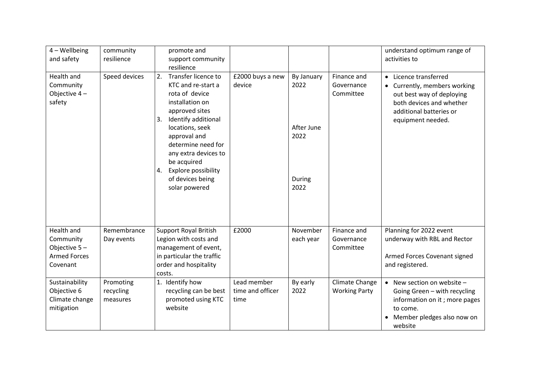| $4 - W$ ellbeing<br>and safety                                             | community<br>resilience            | promote and<br>support community<br>resilience                                                                                                          |                                         |                       |                                        | understand optimum range of<br>activities to                                                                                                         |
|----------------------------------------------------------------------------|------------------------------------|---------------------------------------------------------------------------------------------------------------------------------------------------------|-----------------------------------------|-----------------------|----------------------------------------|------------------------------------------------------------------------------------------------------------------------------------------------------|
| Health and<br>Community<br>Objective 4-<br>safety                          | Speed devices                      | Transfer licence to<br>2.<br>KTC and re-start a<br>rota of device<br>installation on<br>approved sites<br>3.                                            | £2000 buys a new<br>device              | By January<br>2022    | Finance and<br>Governance<br>Committee | • Licence transferred<br>Currently, members working<br>$\bullet$<br>out best way of deploying<br>both devices and whether<br>additional batteries or |
|                                                                            |                                    | Identify additional<br>locations, seek<br>approval and<br>determine need for<br>any extra devices to<br>be acquired<br><b>Explore possibility</b><br>4. |                                         | After June<br>2022    |                                        | equipment needed.                                                                                                                                    |
|                                                                            |                                    | of devices being<br>solar powered                                                                                                                       |                                         | During<br>2022        |                                        |                                                                                                                                                      |
| Health and<br>Community<br>Objective 5-<br><b>Armed Forces</b><br>Covenant | Remembrance<br>Day events          | <b>Support Royal British</b><br>Legion with costs and<br>management of event,<br>in particular the traffic<br>order and hospitality<br>costs.           | £2000                                   | November<br>each year | Finance and<br>Governance<br>Committee | Planning for 2022 event<br>underway with RBL and Rector<br>Armed Forces Covenant signed<br>and registered.                                           |
| Sustainability<br>Objective 6<br>Climate change<br>mitigation              | Promoting<br>recycling<br>measures | 1. Identify how<br>recycling can be best<br>promoted using KTC<br>website                                                                               | Lead member<br>time and officer<br>time | By early<br>2022      | Climate Change<br><b>Working Party</b> | • New section on website $-$<br>Going Green - with recycling<br>information on it; more pages<br>to come.<br>Member pledges also now on<br>website   |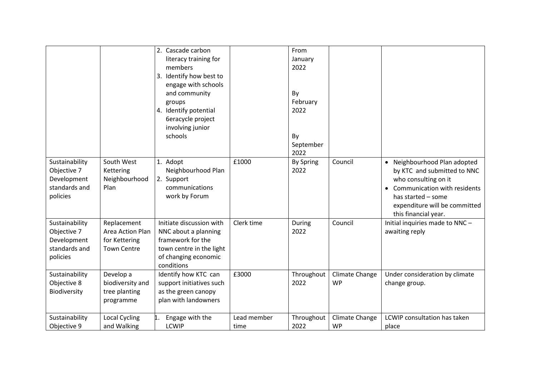|                                                                           |                                                                        | 2. Cascade carbon<br>literacy training for<br>members<br>Identify how best to<br>3.<br>engage with schools<br>and community<br>groups<br>4. Identify potential<br>6eracycle project<br>involving junior<br>schools |                     | From<br>January<br>2022<br>By<br>February<br>2022<br>By<br>September<br>2022 |                             |                                                                                                                                                                                                                 |
|---------------------------------------------------------------------------|------------------------------------------------------------------------|--------------------------------------------------------------------------------------------------------------------------------------------------------------------------------------------------------------------|---------------------|------------------------------------------------------------------------------|-----------------------------|-----------------------------------------------------------------------------------------------------------------------------------------------------------------------------------------------------------------|
| Sustainability<br>Objective 7<br>Development<br>standards and<br>policies | South West<br>Kettering<br>Neighbourhood<br>Plan                       | 1. Adopt<br>Neighbourhood Plan<br>2. Support<br>communications<br>work by Forum                                                                                                                                    | £1000               | <b>By Spring</b><br>2022                                                     | Council                     | • Neighbourhood Plan adopted<br>by KTC and submitted to NNC<br>who consulting on it<br>Communication with residents<br>$\bullet$<br>has started - some<br>expenditure will be committed<br>this financial year. |
| Sustainability<br>Objective 7<br>Development<br>standards and<br>policies | Replacement<br>Area Action Plan<br>for Kettering<br><b>Town Centre</b> | Initiate discussion with<br>NNC about a planning<br>framework for the<br>town centre in the light<br>of changing economic<br>conditions                                                                            | Clerk time          | During<br>2022                                                               | Council                     | Initial inquiries made to NNC-<br>awaiting reply                                                                                                                                                                |
| Sustainability<br>Objective 8<br>Biodiversity                             | Develop a<br>biodiversity and<br>tree planting<br>programme            | Identify how KTC can<br>support initiatives such<br>as the green canopy<br>plan with landowners                                                                                                                    | £3000               | Throughout<br>2022                                                           | Climate Change<br><b>WP</b> | Under consideration by climate<br>change group.                                                                                                                                                                 |
| Sustainability<br>Objective 9                                             | <b>Local Cycling</b><br>and Walking                                    | Engage with the<br><b>LCWIP</b>                                                                                                                                                                                    | Lead member<br>time | Throughout<br>2022                                                           | Climate Change<br><b>WP</b> | LCWIP consultation has taken<br>place                                                                                                                                                                           |